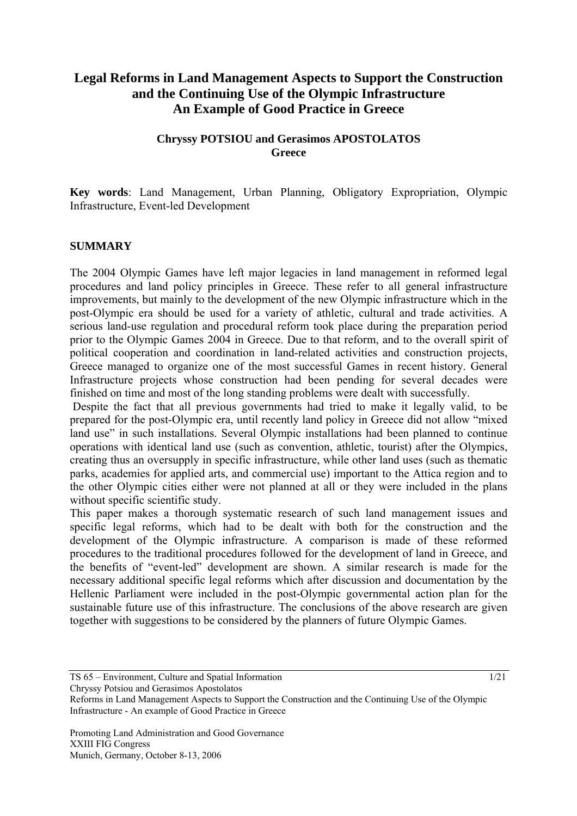# **Legal Reforms in Land Management Aspects to Support the Construction and the Continuing Use of the Olympic Infrastructure An Example of Good Practice in Greece**

## **Chryssy POTSIOU and Gerasimos APOSTOLATOS Greece**

**Key words**: Land Management, Urban Planning, Obligatory Expropriation, Olympic Infrastructure, Event-led Development

#### **SUMMARY**

The 2004 Olympic Games have left major legacies in land management in reformed legal procedures and land policy principles in Greece. These refer to all general infrastructure improvements, but mainly to the development of the new Olympic infrastructure which in the post-Olympic era should be used for a variety of athletic, cultural and trade activities. A serious land-use regulation and procedural reform took place during the preparation period prior to the Olympic Games 2004 in Greece. Due to that reform, and to the overall spirit of political cooperation and coordination in land-related activities and construction projects, Greece managed to organize one of the most successful Games in recent history. General Infrastructure projects whose construction had been pending for several decades were finished on time and most of the long standing problems were dealt with successfully.

 Despite the fact that all previous governments had tried to make it legally valid, to be prepared for the post-Olympic era, until recently land policy in Greece did not allow "mixed land use" in such installations. Several Olympic installations had been planned to continue operations with identical land use (such as convention, athletic, tourist) after the Olympics, creating thus an oversupply in specific infrastructure, while other land uses (such as thematic parks, academies for applied arts, and commercial use) important to the Attica region and to the other Olympic cities either were not planned at all or they were included in the plans without specific scientific study.

This paper makes a thorough systematic research of such land management issues and specific legal reforms, which had to be dealt with both for the construction and the development of the Olympic infrastructure. A comparison is made of these reformed procedures to the traditional procedures followed for the development of land in Greece, and the benefits of "event-led" development are shown. A similar research is made for the necessary additional specific legal reforms which after discussion and documentation by the Hellenic Parliament were included in the post-Olympic governmental action plan for the sustainable future use of this infrastructure. The conclusions of the above research are given together with suggestions to be considered by the planners of future Olympic Games.

Chryssy Potsiou and Gerasimos Apostolatos

TS 65 – Environment, Culture and Spatial Information 1/21

Reforms in Land Management Aspects to Support the Construction and the Continuing Use of the Olympic Infrastructure - An example of Good Practice in Greece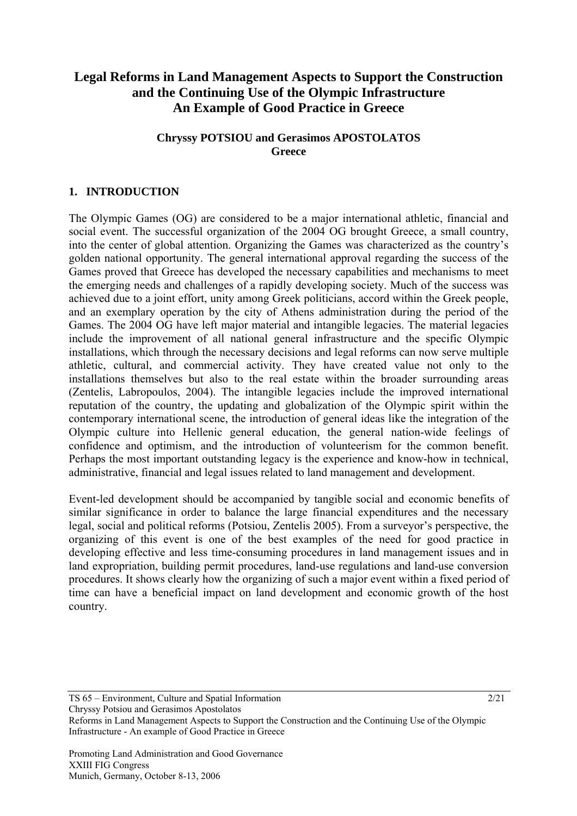# **Legal Reforms in Land Management Aspects to Support the Construction and the Continuing Use of the Olympic Infrastructure An Example of Good Practice in Greece**

## **Chryssy POTSIOU and Gerasimos APOSTOLATOS Greece**

## **1. INTRODUCTION**

The Olympic Games (OG) are considered to be a major international athletic, financial and social event. The successful organization of the 2004 OG brought Greece, a small country, into the center of global attention. Organizing the Games was characterized as the country's golden national opportunity. The general international approval regarding the success of the Games proved that Greece has developed the necessary capabilities and mechanisms to meet the emerging needs and challenges of a rapidly developing society. Much of the success was achieved due to a joint effort, unity among Greek politicians, accord within the Greek people, and an exemplary operation by the city of Athens administration during the period of the Games. The 2004 OG have left major material and intangible legacies. The material legacies include the improvement of all national general infrastructure and the specific Olympic installations, which through the necessary decisions and legal reforms can now serve multiple athletic, cultural, and commercial activity. They have created value not only to the installations themselves but also to the real estate within the broader surrounding areas (Zentelis, Labropoulos, 2004). The intangible legacies include the improved international reputation of the country, the updating and globalization of the Olympic spirit within the contemporary international scene, the introduction of general ideas like the integration of the Olympic culture into Hellenic general education, the general nation-wide feelings of confidence and optimism, and the introduction of volunteerism for the common benefit. Perhaps the most important outstanding legacy is the experience and know-how in technical, administrative, financial and legal issues related to land management and development.

Event-led development should be accompanied by tangible social and economic benefits of similar significance in order to balance the large financial expenditures and the necessary legal, social and political reforms (Potsiou, Zentelis 2005). From a surveyor's perspective, the organizing of this event is one of the best examples of the need for good practice in developing effective and less time-consuming procedures in land management issues and in land expropriation, building permit procedures, land-use regulations and land-use conversion procedures. It shows clearly how the organizing of such a major event within a fixed period of time can have a beneficial impact on land development and economic growth of the host country.

TS 65 – Environment, Culture and Spatial Information 2/21 Chryssy Potsiou and Gerasimos Apostolatos

Reforms in Land Management Aspects to Support the Construction and the Continuing Use of the Olympic Infrastructure - An example of Good Practice in Greece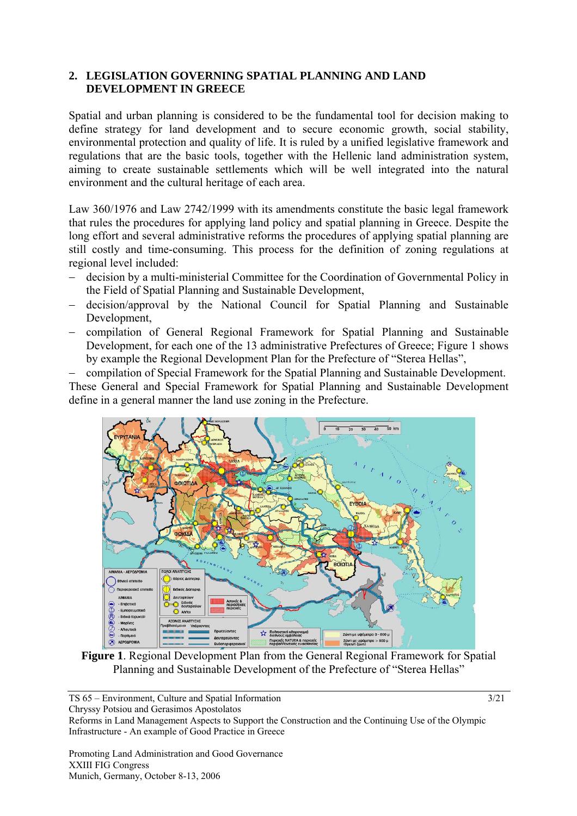## **2. LEGISLATION GOVERNING SPATIAL PLANNING AND LAND DEVELOPMENT IN GREECE**

Spatial and urban planning is considered to be the fundamental tool for decision making to define strategy for land development and to secure economic growth, social stability, environmental protection and quality of life. It is ruled by a unified legislative framework and regulations that are the basic tools, together with the Hellenic land administration system, aiming to create sustainable settlements which will be well integrated into the natural environment and the cultural heritage of each area.

Law 360/1976 and Law 2742/1999 with its amendments constitute the basic legal framework that rules the procedures for applying land policy and spatial planning in Greece. Despite the long effort and several administrative reforms the procedures of applying spatial planning are still costly and time-consuming. This process for the definition of zoning regulations at regional level included:

- − decision by a multi-ministerial Committee for the Coordination of Governmental Policy in the Field of Spatial Planning and Sustainable Development,
- − decision/approval by the National Council for Spatial Planning and Sustainable Development,
- − compilation of General Regional Framework for Spatial Planning and Sustainable Development, for each one of the 13 administrative Prefectures of Greece: Figure 1 shows by example the Regional Development Plan for the Prefecture of "Sterea Hellas",

− compilation of Special Framework for the Spatial Planning and Sustainable Development. These General and Special Framework for Spatial Planning and Sustainable Development define in a general manner the land use zoning in the Prefecture.



**Figure 1**. Regional Development Plan from the General Regional Framework for Spatial Planning and Sustainable Development of the Prefecture of "Sterea Hellas"

TS 65 – Environment, Culture and Spatial Information 3/21 Chryssy Potsiou and Gerasimos Apostolatos

Reforms in Land Management Aspects to Support the Construction and the Continuing Use of the Olympic Infrastructure - An example of Good Practice in Greece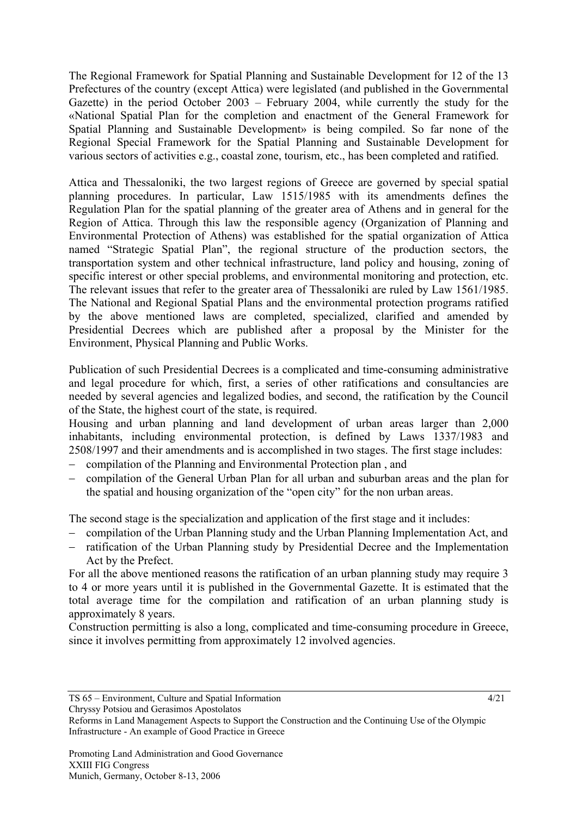The Regional Framework for Spatial Planning and Sustainable Development for 12 of the 13 Prefectures of the country (except Attica) were legislated (and published in the Governmental Gazette) in the period October 2003 – February 2004, while currently the study for the «National Spatial Plan for the completion and enactment of the General Framework for Spatial Planning and Sustainable Development» is being compiled. So far none of the Regional Special Framework for the Spatial Planning and Sustainable Development for various sectors of activities e.g., coastal zone, tourism, etc., has been completed and ratified.

Attica and Thessaloniki, the two largest regions of Greece are governed by special spatial planning procedures. In particular, Law 1515/1985 with its amendments defines the Regulation Plan for the spatial planning of the greater area of Athens and in general for the Region of Attica. Through this law the responsible agency (Organization of Planning and Environmental Protection of Athens) was established for the spatial organization of Attica named "Strategic Spatial Plan", the regional structure of the production sectors, the transportation system and other technical infrastructure, land policy and housing, zoning of specific interest or other special problems, and environmental monitoring and protection, etc. The relevant issues that refer to the greater area of Thessaloniki are ruled by Law 1561/1985. The National and Regional Spatial Plans and the environmental protection programs ratified by the above mentioned laws are completed, specialized, clarified and amended by Presidential Decrees which are published after a proposal by the Minister for the Environment, Physical Planning and Public Works.

Publication of such Presidential Decrees is a complicated and time-consuming administrative and legal procedure for which, first, a series of other ratifications and consultancies are needed by several agencies and legalized bodies, and second, the ratification by the Council of the State, the highest court of the state, is required.

Housing and urban planning and land development of urban areas larger than 2,000 inhabitants, including environmental protection, is defined by Laws 1337/1983 and 2508/1997 and their amendments and is accomplished in two stages. The first stage includes:

- − compilation of the Planning and Environmental Protection plan , and
- − compilation of the General Urban Plan for all urban and suburban areas and the plan for the spatial and housing organization of the "open city" for the non urban areas.

The second stage is the specialization and application of the first stage and it includes:

- − compilation of the Urban Planning study and the Urban Planning Implementation Act, and
- − ratification of the Urban Planning study by Presidential Decree and the Implementation Act by the Prefect.

For all the above mentioned reasons the ratification of an urban planning study may require 3 to 4 or more years until it is published in the Governmental Gazette. It is estimated that the total average time for the compilation and ratification of an urban planning study is approximately 8 years.

Construction permitting is also a long, complicated and time-consuming procedure in Greece, since it involves permitting from approximately 12 involved agencies.

Reforms in Land Management Aspects to Support the Construction and the Continuing Use of the Olympic Infrastructure - An example of Good Practice in Greece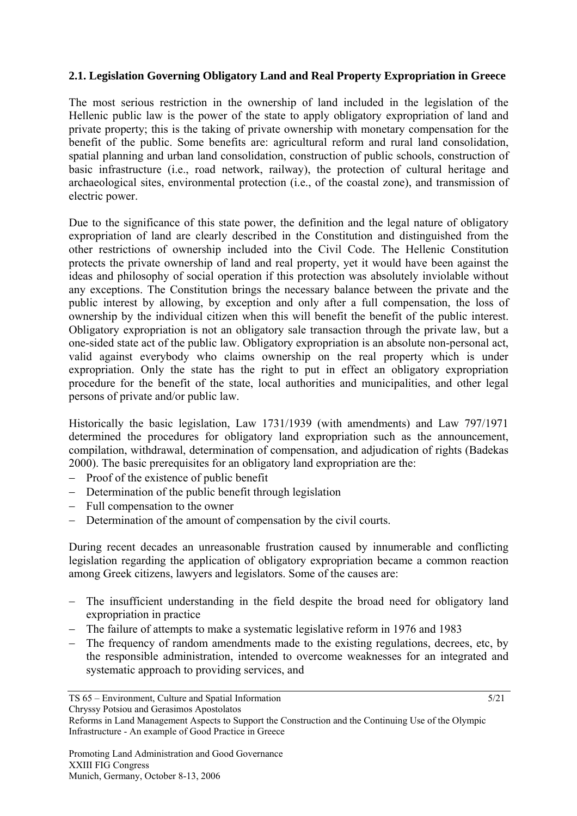# **2.1. Legislation Governing Obligatory Land and Real Property Expropriation in Greece**

The most serious restriction in the ownership of land included in the legislation of the Hellenic public law is the power of the state to apply obligatory expropriation of land and private property; this is the taking of private ownership with monetary compensation for the benefit of the public. Some benefits are: agricultural reform and rural land consolidation, spatial planning and urban land consolidation, construction of public schools, construction of basic infrastructure (i.e., road network, railway), the protection of cultural heritage and archaeological sites, environmental protection (i.e., of the coastal zone), and transmission of electric power.

Due to the significance of this state power, the definition and the legal nature of obligatory expropriation of land are clearly described in the Constitution and distinguished from the other restrictions of ownership included into the Civil Code. The Hellenic Constitution protects the private ownership of land and real property, yet it would have been against the ideas and philosophy of social operation if this protection was absolutely inviolable without any exceptions. The Constitution brings the necessary balance between the private and the public interest by allowing, by exception and only after a full compensation, the loss of ownership by the individual citizen when this will benefit the benefit of the public interest. Obligatory expropriation is not an obligatory sale transaction through the private law, but a one-sided state act of the public law. Obligatory expropriation is an absolute non-personal act, valid against everybody who claims ownership on the real property which is under expropriation. Only the state has the right to put in effect an obligatory expropriation procedure for the benefit of the state, local authorities and municipalities, and other legal persons of private and/or public law.

Historically the basic legislation, Law 1731/1939 (with amendments) and Law 797/1971 determined the procedures for obligatory land expropriation such as the announcement, compilation, withdrawal, determination of compensation, and adjudication of rights (Badekas 2000). The basic prerequisites for an obligatory land expropriation are the:

- − Proof of the existence of public benefit
- − Determination of the public benefit through legislation
- − Full compensation to the owner
- − Determination of the amount of compensation by the civil courts.

During recent decades an unreasonable frustration caused by innumerable and conflicting legislation regarding the application of obligatory expropriation became a common reaction among Greek citizens, lawyers and legislators. Some of the causes are:

- − The insufficient understanding in the field despite the broad need for obligatory land expropriation in practice
- − The failure of attempts to make a systematic legislative reform in 1976 and 1983
- − The frequency of random amendments made to the existing regulations, decrees, etc, by the responsible administration, intended to overcome weaknesses for an integrated and systematic approach to providing services, and

Reforms in Land Management Aspects to Support the Construction and the Continuing Use of the Olympic Infrastructure - An example of Good Practice in Greece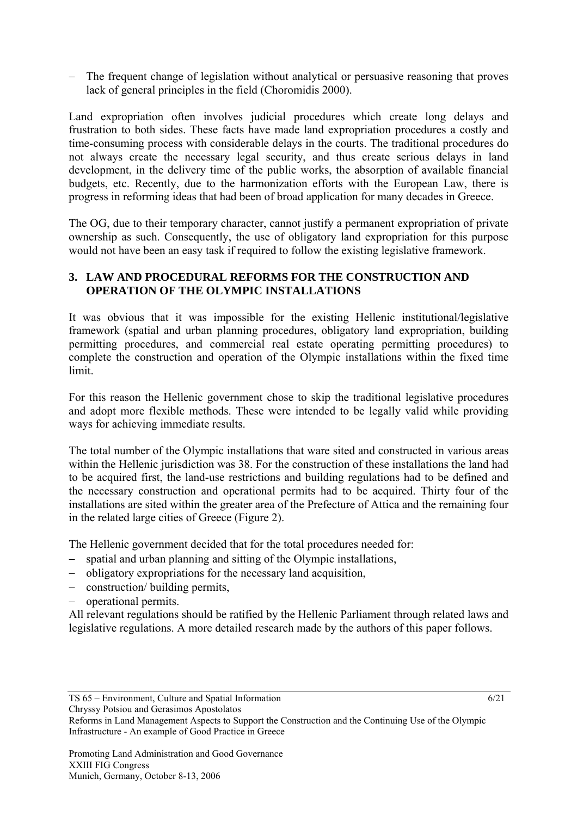The frequent change of legislation without analytical or persuasive reasoning that proves lack of general principles in the field (Choromidis 2000).

Land expropriation often involves judicial procedures which create long delays and frustration to both sides. These facts have made land expropriation procedures a costly and time-consuming process with considerable delays in the courts. The traditional procedures do not always create the necessary legal security, and thus create serious delays in land development, in the delivery time of the public works, the absorption of available financial budgets, etc. Recently, due to the harmonization efforts with the European Law, there is progress in reforming ideas that had been of broad application for many decades in Greece.

The OG, due to their temporary character, cannot justify a permanent expropriation of private ownership as such. Consequently, the use of obligatory land expropriation for this purpose would not have been an easy task if required to follow the existing legislative framework.

## **3. LAW AND PROCEDURAL REFORMS FOR THE CONSTRUCTION AND OPERATION OF THE OLYMPIC INSTALLATIONS**

It was obvious that it was impossible for the existing Hellenic institutional/legislative framework (spatial and urban planning procedures, obligatory land expropriation, building permitting procedures, and commercial real estate operating permitting procedures) to complete the construction and operation of the Olympic installations within the fixed time limit.

For this reason the Hellenic government chose to skip the traditional legislative procedures and adopt more flexible methods. These were intended to be legally valid while providing ways for achieving immediate results.

The total number of the Olympic installations that ware sited and constructed in various areas within the Hellenic jurisdiction was 38. For the construction of these installations the land had to be acquired first, the land-use restrictions and building regulations had to be defined and the necessary construction and operational permits had to be acquired. Thirty four of the installations are sited within the greater area of the Prefecture of Attica and the remaining four in the related large cities of Greece (Figure 2).

The Hellenic government decided that for the total procedures needed for:

- − spatial and urban planning and sitting of the Olympic installations,
- − obligatory expropriations for the necessary land acquisition,
- − construction/ building permits,
- − operational permits.

All relevant regulations should be ratified by the Hellenic Parliament through related laws and legislative regulations. A more detailed research made by the authors of this paper follows.

Reforms in Land Management Aspects to Support the Construction and the Continuing Use of the Olympic Infrastructure - An example of Good Practice in Greece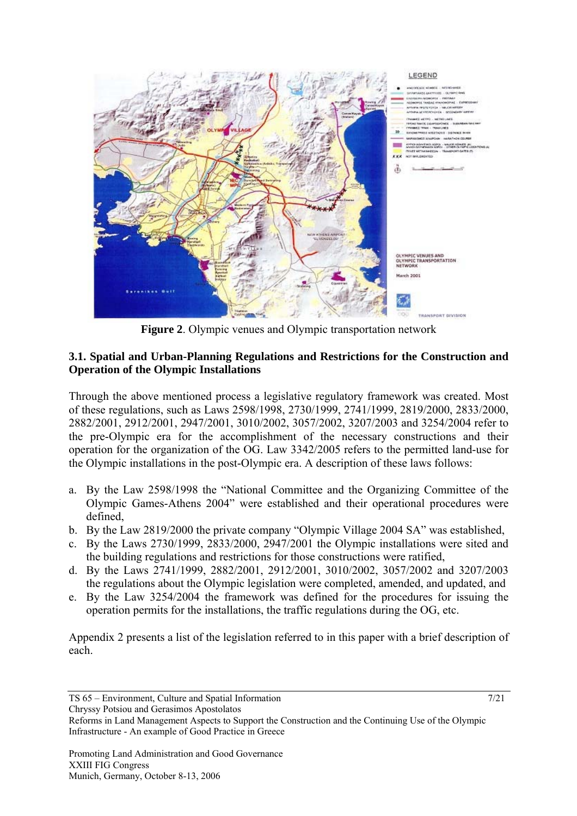

**Figure 2**. Olympic venues and Olympic transportation network

#### **3.1. Spatial and Urban-Planning Regulations and Restrictions for the Construction and Operation of the Olympic Installations**

Through the above mentioned process a legislative regulatory framework was created. Most of these regulations, such as Laws 2598/1998, 2730/1999, 2741/1999, 2819/2000, 2833/2000, 2882/2001, 2912/2001, 2947/2001, 3010/2002, 3057/2002, 3207/2003 and 3254/2004 refer to the pre-Olympic era for the accomplishment of the necessary constructions and their operation for the organization of the OG. Law 3342/2005 refers to the permitted land-use for the Olympic installations in the post-Olympic era. A description of these laws follows:

- a. By the Law 2598/1998 the "National Committee and the Organizing Committee of the Olympic Games-Athens 2004" were established and their operational procedures were defined,
- b. By the Law 2819/2000 the private company "Olympic Village 2004 SA" was established,
- c. By the Laws 2730/1999, 2833/2000, 2947/2001 the Olympic installations were sited and the building regulations and restrictions for those constructions were ratified,
- d. By the Laws 2741/1999, 2882/2001, 2912/2001, 3010/2002, 3057/2002 and 3207/2003 the regulations about the Olympic legislation were completed, amended, and updated, and
- e. By the Law 3254/2004 the framework was defined for the procedures for issuing the operation permits for the installations, the traffic regulations during the OG, etc.

Appendix 2 presents a list of the legislation referred to in this paper with a brief description of each.

TS 65 – Environment, Culture and Spatial Information 7/21 Chryssy Potsiou and Gerasimos Apostolatos

Reforms in Land Management Aspects to Support the Construction and the Continuing Use of the Olympic Infrastructure - An example of Good Practice in Greece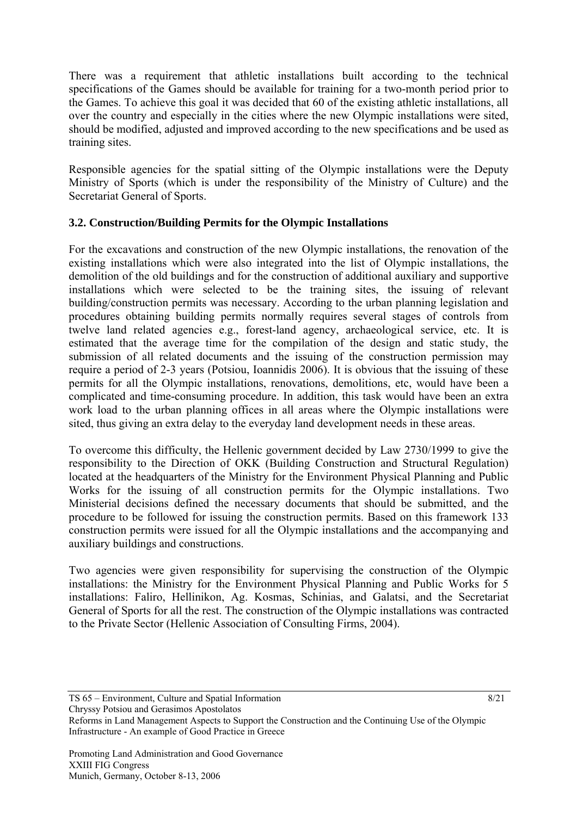There was a requirement that athletic installations built according to the technical specifications of the Games should be available for training for a two-month period prior to the Games. To achieve this goal it was decided that 60 of the existing athletic installations, all over the country and especially in the cities where the new Olympic installations were sited, should be modified, adjusted and improved according to the new specifications and be used as training sites.

Responsible agencies for the spatial sitting of the Olympic installations were the Deputy Ministry of Sports (which is under the responsibility of the Ministry of Culture) and the Secretariat General of Sports.

# **3.2. Construction/Building Permits for the Olympic Installations**

For the excavations and construction of the new Olympic installations, the renovation of the existing installations which were also integrated into the list of Olympic installations, the demolition of the old buildings and for the construction of additional auxiliary and supportive installations which were selected to be the training sites, the issuing of relevant building/construction permits was necessary. According to the urban planning legislation and procedures obtaining building permits normally requires several stages of controls from twelve land related agencies e.g., forest-land agency, archaeological service, etc. It is estimated that the average time for the compilation of the design and static study, the submission of all related documents and the issuing of the construction permission may require a period of 2-3 years (Potsiou, Ioannidis 2006). It is obvious that the issuing of these permits for all the Olympic installations, renovations, demolitions, etc, would have been a complicated and time-consuming procedure. In addition, this task would have been an extra work load to the urban planning offices in all areas where the Olympic installations were sited, thus giving an extra delay to the everyday land development needs in these areas.

To overcome this difficulty, the Hellenic government decided by Law 2730/1999 to give the responsibility to the Direction of OKK (Building Construction and Structural Regulation) located at the headquarters of the Ministry for the Environment Physical Planning and Public Works for the issuing of all construction permits for the Olympic installations. Two Ministerial decisions defined the necessary documents that should be submitted, and the procedure to be followed for issuing the construction permits. Based on this framework 133 construction permits were issued for all the Olympic installations and the accompanying and auxiliary buildings and constructions.

Two agencies were given responsibility for supervising the construction of the Olympic installations: the Ministry for the Environment Physical Planning and Public Works for 5 installations: Faliro, Hellinikon, Ag. Kosmas, Schinias, and Galatsi, and the Secretariat General of Sports for all the rest. The construction of the Olympic installations was contracted to the Private Sector (Hellenic Association of Consulting Firms, 2004).

TS 65 – Environment, Culture and Spatial Information 8/21 Chryssy Potsiou and Gerasimos Apostolatos

Reforms in Land Management Aspects to Support the Construction and the Continuing Use of the Olympic Infrastructure - An example of Good Practice in Greece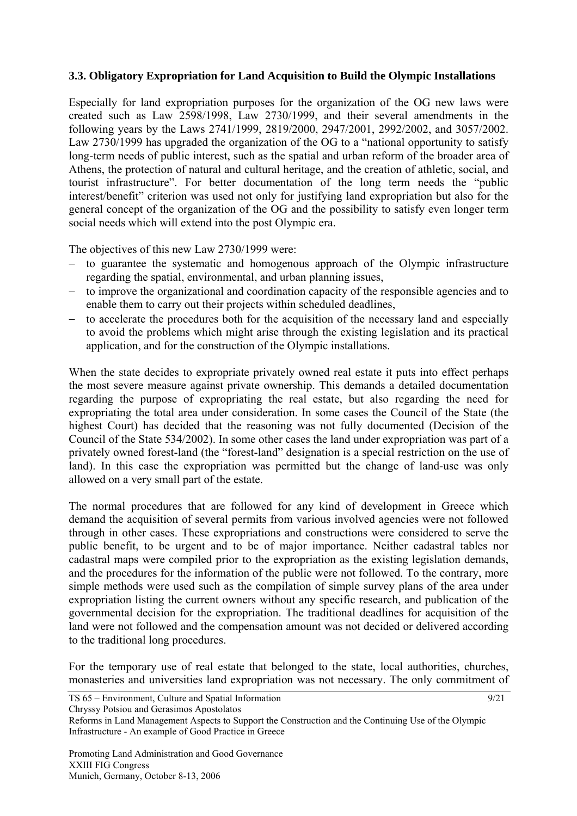## **3.3. Obligatory Expropriation for Land Acquisition to Build the Olympic Installations**

Especially for land expropriation purposes for the organization of the OG new laws were created such as Law 2598/1998, Law 2730/1999, and their several amendments in the following years by the Laws 2741/1999, 2819/2000, 2947/2001, 2992/2002, and 3057/2002. Law 2730/1999 has upgraded the organization of the OG to a "national opportunity to satisfy long-term needs of public interest, such as the spatial and urban reform of the broader area of Athens, the protection of natural and cultural heritage, and the creation of athletic, social, and tourist infrastructure". For better documentation of the long term needs the "public interest/benefit" criterion was used not only for justifying land expropriation but also for the general concept of the organization of the OG and the possibility to satisfy even longer term social needs which will extend into the post Olympic era.

The objectives of this new Law 2730/1999 were:

- − to guarantee the systematic and homogenous approach of the Olympic infrastructure regarding the spatial, environmental, and urban planning issues,
- − to improve the organizational and coordination capacity of the responsible agencies and to enable them to carry out their projects within scheduled deadlines,
- − to accelerate the procedures both for the acquisition of the necessary land and especially to avoid the problems which might arise through the existing legislation and its practical application, and for the construction of the Olympic installations.

When the state decides to expropriate privately owned real estate it puts into effect perhaps the most severe measure against private ownership. This demands a detailed documentation regarding the purpose of expropriating the real estate, but also regarding the need for expropriating the total area under consideration. In some cases the Council of the State (the highest Court) has decided that the reasoning was not fully documented (Decision of the Council of the State 534/2002). In some other cases the land under expropriation was part of a privately owned forest-land (the "forest-land" designation is a special restriction on the use of land). In this case the expropriation was permitted but the change of land-use was only allowed on a very small part of the estate.

The normal procedures that are followed for any kind of development in Greece which demand the acquisition of several permits from various involved agencies were not followed through in other cases. These expropriations and constructions were considered to serve the public benefit, to be urgent and to be of major importance. Neither cadastral tables nor cadastral maps were compiled prior to the expropriation as the existing legislation demands, and the procedures for the information of the public were not followed. To the contrary, more simple methods were used such as the compilation of simple survey plans of the area under expropriation listing the current owners without any specific research, and publication of the governmental decision for the expropriation. The traditional deadlines for acquisition of the land were not followed and the compensation amount was not decided or delivered according to the traditional long procedures.

For the temporary use of real estate that belonged to the state, local authorities, churches, monasteries and universities land expropriation was not necessary. The only commitment of

Reforms in Land Management Aspects to Support the Construction and the Continuing Use of the Olympic Infrastructure - An example of Good Practice in Greece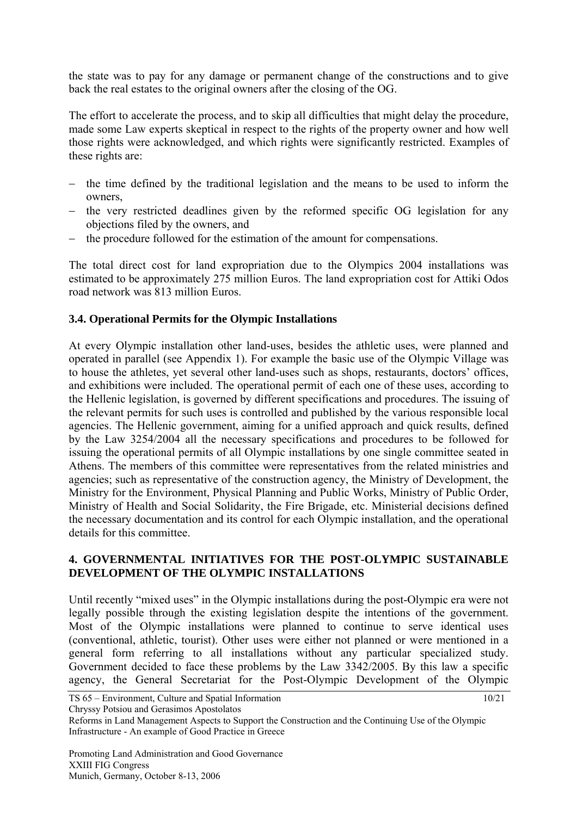the state was to pay for any damage or permanent change of the constructions and to give back the real estates to the original owners after the closing of the OG.

The effort to accelerate the process, and to skip all difficulties that might delay the procedure, made some Law experts skeptical in respect to the rights of the property owner and how well those rights were acknowledged, and which rights were significantly restricted. Examples of these rights are:

- the time defined by the traditional legislation and the means to be used to inform the owners,
- − the very restricted deadlines given by the reformed specific OG legislation for any objections filed by the owners, and
- the procedure followed for the estimation of the amount for compensations.

The total direct cost for land expropriation due to the Olympics 2004 installations was estimated to be approximately 275 million Euros. The land expropriation cost for Attiki Odos road network was 813 million Euros.

# **3.4. Operational Permits for the Olympic Installations**

At every Olympic installation other land-uses, besides the athletic uses, were planned and operated in parallel (see Appendix 1). For example the basic use of the Olympic Village was to house the athletes, yet several other land-uses such as shops, restaurants, doctors' offices, and exhibitions were included. The operational permit of each one of these uses, according to the Hellenic legislation, is governed by different specifications and procedures. The issuing of the relevant permits for such uses is controlled and published by the various responsible local agencies. The Hellenic government, aiming for a unified approach and quick results, defined by the Law 3254/2004 all the necessary specifications and procedures to be followed for issuing the operational permits of all Olympic installations by one single committee seated in Athens. The members of this committee were representatives from the related ministries and agencies; such as representative of the construction agency, the Ministry of Development, the Ministry for the Environment, Physical Planning and Public Works, Ministry of Public Order, Ministry of Health and Social Solidarity, the Fire Brigade, etc. Ministerial decisions defined the necessary documentation and its control for each Olympic installation, and the operational details for this committee.

## **4. GOVERNMENTAL INITIATIVES FOR THE POST-OLYMPIC SUSTAINABLE DEVELOPMENT OF THE OLYMPIC INSTALLATIONS**

Until recently "mixed uses" in the Olympic installations during the post-Olympic era were not legally possible through the existing legislation despite the intentions of the government. Most of the Olympic installations were planned to continue to serve identical uses (conventional, athletic, tourist). Other uses were either not planned or were mentioned in a general form referring to all installations without any particular specialized study. Government decided to face these problems by the Law 3342/2005. By this law a specific agency, the General Secretariat for the Post-Olympic Development of the Olympic

TS 65 – Environment, Culture and Spatial Information 10/21 Chryssy Potsiou and Gerasimos Apostolatos

Reforms in Land Management Aspects to Support the Construction and the Continuing Use of the Olympic Infrastructure - An example of Good Practice in Greece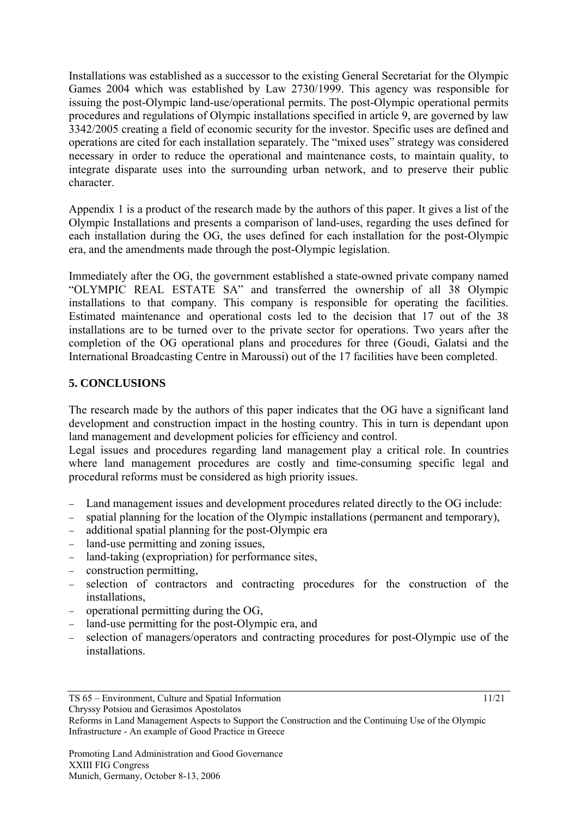Installations was established as a successor to the existing General Secretariat for the Olympic Games 2004 which was established by Law 2730/1999. This agency was responsible for issuing the post-Olympic land-use/operational permits. The post-Olympic operational permits procedures and regulations of Olympic installations specified in article 9, are governed by law 3342/2005 creating a field of economic security for the investor. Specific uses are defined and operations are cited for each installation separately. The "mixed uses" strategy was considered necessary in order to reduce the operational and maintenance costs, to maintain quality, to integrate disparate uses into the surrounding urban network, and to preserve their public character.

Appendix 1 is a product of the research made by the authors of this paper. It gives a list of the Olympic Installations and presents a comparison of land-uses, regarding the uses defined for each installation during the OG, the uses defined for each installation for the post-Olympic era, and the amendments made through the post-Olympic legislation.

Immediately after the OG, the government established a state-owned private company named "OLYMPIC REAL ESTATE SA" and transferred the ownership of all 38 Olympic installations to that company. This company is responsible for operating the facilities. Estimated maintenance and operational costs led to the decision that 17 out of the 38 installations are to be turned over to the private sector for operations. Two years after the completion of the OG operational plans and procedures for three (Goudi, Galatsi and the International Broadcasting Centre in Maroussi) out of the 17 facilities have been completed.

## **5. CONCLUSIONS**

The research made by the authors of this paper indicates that the OG have a significant land development and construction impact in the hosting country. This in turn is dependant upon land management and development policies for efficiency and control.

Legal issues and procedures regarding land management play a critical role. In countries where land management procedures are costly and time-consuming specific legal and procedural reforms must be considered as high priority issues.

- Land management issues and development procedures related directly to the OG include:
- spatial planning for the location of the Olympic installations (permanent and temporary),
- − additional spatial planning for the post-Olympic era
- − land-use permitting and zoning issues,
- − land-taking (expropriation) for performance sites,
- − construction permitting,
- − selection of contractors and contracting procedures for the construction of the installations,
- − operational permitting during the OG,
- land-use permitting for the post-Olympic era, and
- selection of managers/operators and contracting procedures for post-Olympic use of the installations.

Reforms in Land Management Aspects to Support the Construction and the Continuing Use of the Olympic Infrastructure - An example of Good Practice in Greece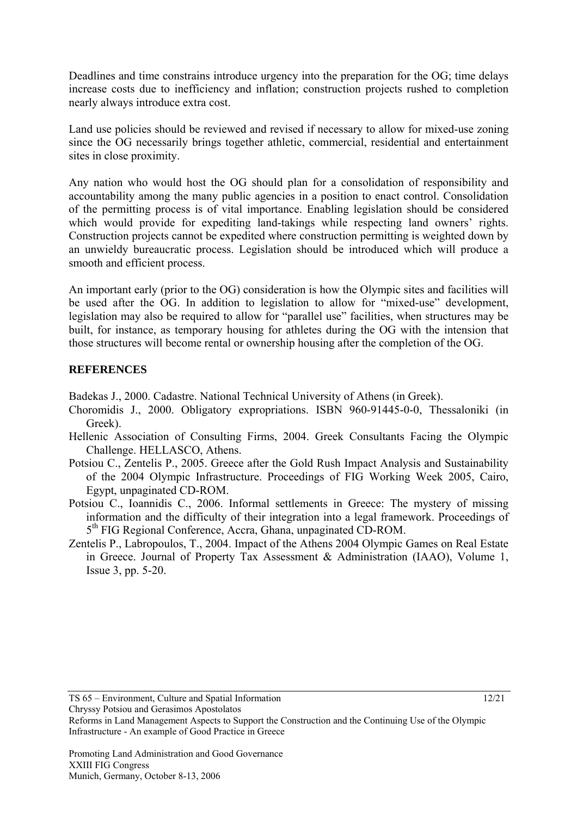Deadlines and time constrains introduce urgency into the preparation for the OG; time delays increase costs due to inefficiency and inflation; construction projects rushed to completion nearly always introduce extra cost.

Land use policies should be reviewed and revised if necessary to allow for mixed-use zoning since the OG necessarily brings together athletic, commercial, residential and entertainment sites in close proximity.

Any nation who would host the OG should plan for a consolidation of responsibility and accountability among the many public agencies in a position to enact control. Consolidation of the permitting process is of vital importance. Enabling legislation should be considered which would provide for expediting land-takings while respecting land owners' rights. Construction projects cannot be expedited where construction permitting is weighted down by an unwieldy bureaucratic process. Legislation should be introduced which will produce a smooth and efficient process.

An important early (prior to the OG) consideration is how the Olympic sites and facilities will be used after the OG. In addition to legislation to allow for "mixed-use" development, legislation may also be required to allow for "parallel use" facilities, when structures may be built, for instance, as temporary housing for athletes during the OG with the intension that those structures will become rental or ownership housing after the completion of the OG.

## **REFERENCES**

Badekas J., 2000. Cadastre. National Technical University of Athens (in Greek).

- Choromidis J., 2000. Obligatory expropriations. ISBN 960-91445-0-0, Thessaloniki (in Greek).
- Hellenic Association of Consulting Firms, 2004. Greek Consultants Facing the Olympic Challenge. HELLASCO, Athens.
- Potsiou C., Zentelis P., 2005. Greece after the Gold Rush Impact Analysis and Sustainability of the 2004 Olympic Infrastructure. Proceedings of FIG Working Week 2005, Cairo, Egypt, unpaginated CD-ROM.
- Potsiou C., Ioannidis C., 2006. Informal settlements in Greece: The mystery of missing information and the difficulty of their integration into a legal framework. Proceedings of  $5<sup>th</sup> FIG Regional Conference, Accra, Ghana, unpaginated CD-ROM.$
- Zentelis P., Labropoulos, T., 2004. Impact of the Athens 2004 Olympic Games on Real Estate in Greece. Journal of Property Tax Assessment & Administration (IAAO), Volume 1, Issue 3, pp. 5-20.

Reforms in Land Management Aspects to Support the Construction and the Continuing Use of the Olympic Infrastructure - An example of Good Practice in Greece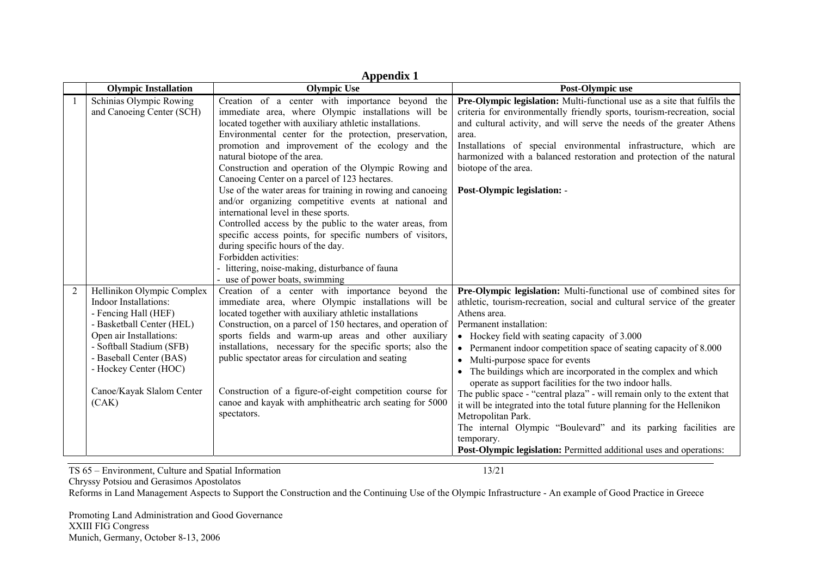|                | <b>Appendix 1</b>                                                                                                                                                                                                                                         |                                                                                                                                                                                                                                                                                                                                                                                                                                                                                                                                                   |                                                                                                                                                                                                                                                                                                                                                                                                                                                                                                                                                                                                                                                                                                                                                                                                                                  |  |  |
|----------------|-----------------------------------------------------------------------------------------------------------------------------------------------------------------------------------------------------------------------------------------------------------|---------------------------------------------------------------------------------------------------------------------------------------------------------------------------------------------------------------------------------------------------------------------------------------------------------------------------------------------------------------------------------------------------------------------------------------------------------------------------------------------------------------------------------------------------|----------------------------------------------------------------------------------------------------------------------------------------------------------------------------------------------------------------------------------------------------------------------------------------------------------------------------------------------------------------------------------------------------------------------------------------------------------------------------------------------------------------------------------------------------------------------------------------------------------------------------------------------------------------------------------------------------------------------------------------------------------------------------------------------------------------------------------|--|--|
|                | <b>Olympic Installation</b>                                                                                                                                                                                                                               | Olympic Use                                                                                                                                                                                                                                                                                                                                                                                                                                                                                                                                       | Post-Olympic use                                                                                                                                                                                                                                                                                                                                                                                                                                                                                                                                                                                                                                                                                                                                                                                                                 |  |  |
|                | Schinias Olympic Rowing<br>and Canoeing Center (SCH)                                                                                                                                                                                                      | Creation of a center with importance beyond the<br>immediate area, where Olympic installations will be<br>located together with auxiliary athletic installations.<br>Environmental center for the protection, preservation,<br>promotion and improvement of the ecology and the<br>natural biotope of the area.<br>Construction and operation of the Olympic Rowing and<br>Canoeing Center on a parcel of 123 hectares.                                                                                                                           | Pre-Olympic legislation: Multi-functional use as a site that fulfils the<br>criteria for environmentally friendly sports, tourism-recreation, social<br>and cultural activity, and will serve the needs of the greater Athens<br>area.<br>Installations of special environmental infrastructure, which are<br>harmonized with a balanced restoration and protection of the natural<br>biotope of the area.                                                                                                                                                                                                                                                                                                                                                                                                                       |  |  |
|                |                                                                                                                                                                                                                                                           | Use of the water areas for training in rowing and canoeing<br>and/or organizing competitive events at national and<br>international level in these sports.<br>Controlled access by the public to the water areas, from<br>specific access points, for specific numbers of visitors,<br>during specific hours of the day.<br>Forbidden activities:<br>- littering, noise-making, disturbance of fauna<br>- use of power boats, swimming                                                                                                            | <b>Post-Olympic legislation: -</b>                                                                                                                                                                                                                                                                                                                                                                                                                                                                                                                                                                                                                                                                                                                                                                                               |  |  |
| $\overline{2}$ | Hellinikon Olympic Complex<br>Indoor Installations:<br>- Fencing Hall (HEF)<br>- Basketball Center (HEL)<br>Open air Installations:<br>- Softball Stadium (SFB)<br>- Baseball Center (BAS)<br>- Hockey Center (HOC)<br>Canoe/Kayak Slalom Center<br>(CAK) | Creation of a center with importance beyond the<br>immediate area, where Olympic installations will be<br>located together with auxiliary athletic installations<br>Construction, on a parcel of 150 hectares, and operation of<br>sports fields and warm-up areas and other auxiliary<br>installations, necessary for the specific sports; also the<br>public spectator areas for circulation and seating<br>Construction of a figure-of-eight competition course for<br>canoe and kayak with amphitheatric arch seating for 5000<br>spectators. | Pre-Olympic legislation: Multi-functional use of combined sites for<br>athletic, tourism-recreation, social and cultural service of the greater<br>Athens area.<br>Permanent installation:<br>• Hockey field with seating capacity of 3.000<br>Permanent indoor competition space of seating capacity of 8.000<br>$\bullet$<br>Multi-purpose space for events<br>• The buildings which are incorporated in the complex and which<br>operate as support facilities for the two indoor halls.<br>The public space - "central plaza" - will remain only to the extent that<br>it will be integrated into the total future planning for the Hellenikon<br>Metropolitan Park.<br>The internal Olympic "Boulevard" and its parking facilities are<br>temporary.<br>Post-Olympic legislation: Permitted additional uses and operations: |  |  |

TS 65 – Environment, Culture and Spatial Information 13/21

Chryssy Potsiou and Gerasimos Apostolatos

Reforms in Land Management Aspects to Support the Construction and the Continuing Use of the Olympic Infrastructure - An example of Good Practice in Greece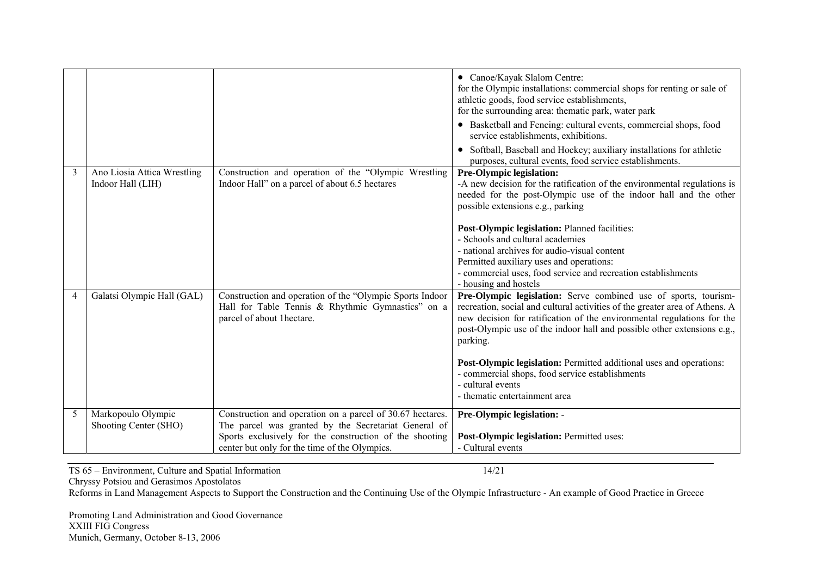|                |                                                  |                                                                                                                                                                                                                               | • Canoe/Kayak Slalom Centre:<br>for the Olympic installations: commercial shops for renting or sale of<br>athletic goods, food service establishments,<br>for the surrounding area: thematic park, water park<br>• Basketball and Fencing: cultural events, commercial shops, food<br>service establishments, exhibitions.<br>Softball, Baseball and Hockey; auxiliary installations for athletic<br>purposes, cultural events, food service establishments. |
|----------------|--------------------------------------------------|-------------------------------------------------------------------------------------------------------------------------------------------------------------------------------------------------------------------------------|--------------------------------------------------------------------------------------------------------------------------------------------------------------------------------------------------------------------------------------------------------------------------------------------------------------------------------------------------------------------------------------------------------------------------------------------------------------|
| 3              | Ano Liosia Attica Wrestling<br>Indoor Hall (LIH) | Construction and operation of the "Olympic Wrestling<br>Indoor Hall" on a parcel of about 6.5 hectares                                                                                                                        | Pre-Olympic legislation:<br>-A new decision for the ratification of the environmental regulations is<br>needed for the post-Olympic use of the indoor hall and the other<br>possible extensions e.g., parking                                                                                                                                                                                                                                                |
|                |                                                  |                                                                                                                                                                                                                               | Post-Olympic legislation: Planned facilities:<br>- Schools and cultural academies<br>- national archives for audio-visual content<br>Permitted auxiliary uses and operations:<br>- commercial uses, food service and recreation establishments<br>- housing and hostels                                                                                                                                                                                      |
| $\overline{4}$ | Galatsi Olympic Hall (GAL)                       | Construction and operation of the "Olympic Sports Indoor<br>Hall for Table Tennis & Rhythmic Gymnastics" on a<br>parcel of about 1hectare.                                                                                    | Pre-Olympic legislation: Serve combined use of sports, tourism-<br>recreation, social and cultural activities of the greater area of Athens. A<br>new decision for ratification of the environmental regulations for the<br>post-Olympic use of the indoor hall and possible other extensions e.g.,<br>parking.                                                                                                                                              |
|                |                                                  |                                                                                                                                                                                                                               | Post-Olympic legislation: Permitted additional uses and operations:<br>- commercial shops, food service establishments<br>- cultural events<br>- thematic entertainment area                                                                                                                                                                                                                                                                                 |
| 5              | Markopoulo Olympic<br>Shooting Center (SHO)      | Construction and operation on a parcel of 30.67 hectares.<br>The parcel was granted by the Secretariat General of<br>Sports exclusively for the construction of the shooting<br>center but only for the time of the Olympics. | Pre-Olympic legislation: -<br>Post-Olympic legislation: Permitted uses:<br>- Cultural events                                                                                                                                                                                                                                                                                                                                                                 |

TS 65 – Environment, Culture and Spatial Information 14/21

Chryssy Potsiou and Gerasimos Apostolatos

Reforms in Land Management Aspects to Support the Construction and the Continuing Use of the Olympic Infrastructure - An example of Good Practice in Greece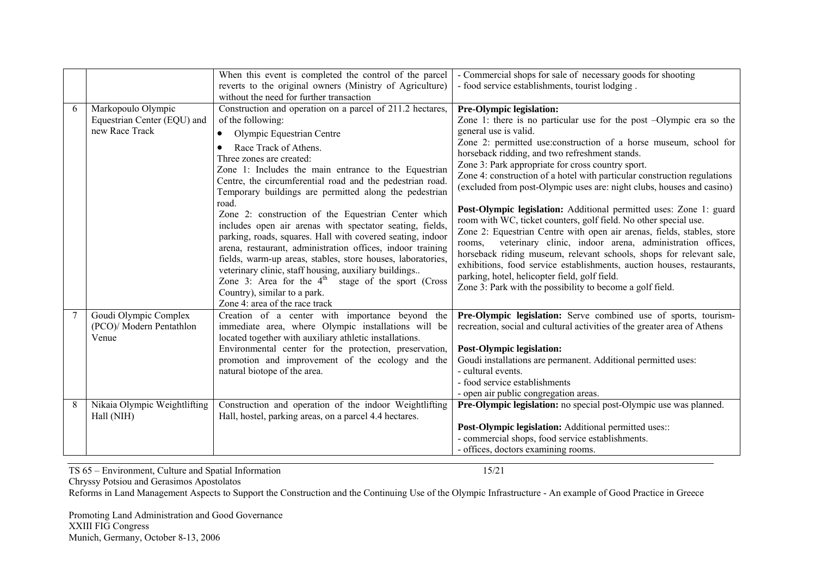|   |                                                                     | When this event is completed the control of the parcel<br>reverts to the original owners (Ministry of Agriculture)<br>without the need for further transaction                                                                                                                                                                                                                                                                                                                                                                                                                                                                                                                                                                                                                                                                                            | - Commercial shops for sale of necessary goods for shooting<br>- food service establishments, tourist lodging.                                                                                                                                                                                                                                                                                                                                                                                                                                                                                                                                                                                                                                                                                                                                                                                                                                                                                                     |
|---|---------------------------------------------------------------------|-----------------------------------------------------------------------------------------------------------------------------------------------------------------------------------------------------------------------------------------------------------------------------------------------------------------------------------------------------------------------------------------------------------------------------------------------------------------------------------------------------------------------------------------------------------------------------------------------------------------------------------------------------------------------------------------------------------------------------------------------------------------------------------------------------------------------------------------------------------|--------------------------------------------------------------------------------------------------------------------------------------------------------------------------------------------------------------------------------------------------------------------------------------------------------------------------------------------------------------------------------------------------------------------------------------------------------------------------------------------------------------------------------------------------------------------------------------------------------------------------------------------------------------------------------------------------------------------------------------------------------------------------------------------------------------------------------------------------------------------------------------------------------------------------------------------------------------------------------------------------------------------|
| 6 | Markopoulo Olympic<br>Equestrian Center (EQU) and<br>new Race Track | Construction and operation on a parcel of 211.2 hectares,<br>of the following:<br>Olympic Equestrian Centre<br>Race Track of Athens.<br>Three zones are created:<br>Zone 1: Includes the main entrance to the Equestrian<br>Centre, the circumferential road and the pedestrian road.<br>Temporary buildings are permitted along the pedestrian<br>road.<br>Zone 2: construction of the Equestrian Center which<br>includes open air arenas with spectator seating, fields,<br>parking, roads, squares. Hall with covered seating, indoor<br>arena, restaurant, administration offices, indoor training<br>fields, warm-up areas, stables, store houses, laboratories,<br>veterinary clinic, staff housing, auxiliary buildings<br>Zone 3: Area for the $4th$ stage of the sport (Cross<br>Country), similar to a park.<br>Zone 4: area of the race track | Pre-Olympic legislation:<br>Zone 1: there is no particular use for the post -Olympic era so the<br>general use is valid.<br>Zone 2: permitted use: construction of a horse museum, school for<br>horseback ridding, and two refreshment stands.<br>Zone 3: Park appropriate for cross country sport.<br>Zone 4: construction of a hotel with particular construction regulations<br>(excluded from post-Olympic uses are: night clubs, houses and casino)<br>Post-Olympic legislation: Additional permitted uses: Zone 1: guard<br>room with WC, ticket counters, golf field. No other special use.<br>Zone 2: Equestrian Centre with open air arenas, fields, stables, store<br>veterinary clinic, indoor arena, administration offices,<br>rooms,<br>horseback riding museum, relevant schools, shops for relevant sale,<br>exhibitions, food service establishments, auction houses, restaurants,<br>parking, hotel, helicopter field, golf field.<br>Zone 3: Park with the possibility to become a golf field. |
|   | Goudi Olympic Complex<br>(PCO)/ Modern Pentathlon<br>Venue          | Creation of a center with importance beyond the<br>immediate area, where Olympic installations will be<br>located together with auxiliary athletic installations.<br>Environmental center for the protection, preservation,<br>promotion and improvement of the ecology and the<br>natural biotope of the area.                                                                                                                                                                                                                                                                                                                                                                                                                                                                                                                                           | Pre-Olympic legislation: Serve combined use of sports, tourism-<br>recreation, social and cultural activities of the greater area of Athens<br><b>Post-Olympic legislation:</b><br>Goudi installations are permanent. Additional permitted uses:<br>- cultural events.<br>- food service establishments<br>- open air public congregation areas.                                                                                                                                                                                                                                                                                                                                                                                                                                                                                                                                                                                                                                                                   |
| 8 | Nikaia Olympic Weightlifting<br>Hall (NIH)                          | Construction and operation of the indoor Weightlifting<br>Hall, hostel, parking areas, on a parcel 4.4 hectares.                                                                                                                                                                                                                                                                                                                                                                                                                                                                                                                                                                                                                                                                                                                                          | Pre-Olympic legislation: no special post-Olympic use was planned.<br>Post-Olympic legislation: Additional permitted uses::<br>- commercial shops, food service establishments.<br>- offices, doctors examining rooms.                                                                                                                                                                                                                                                                                                                                                                                                                                                                                                                                                                                                                                                                                                                                                                                              |

TS 65 – Environment, Culture and Spatial Information 15/21

Chryssy Potsiou and Gerasimos Apostolatos

Reforms in Land Management Aspects to Support the Construction and the Continuing Use of the Olympic Infrastructure - An example of Good Practice in Greece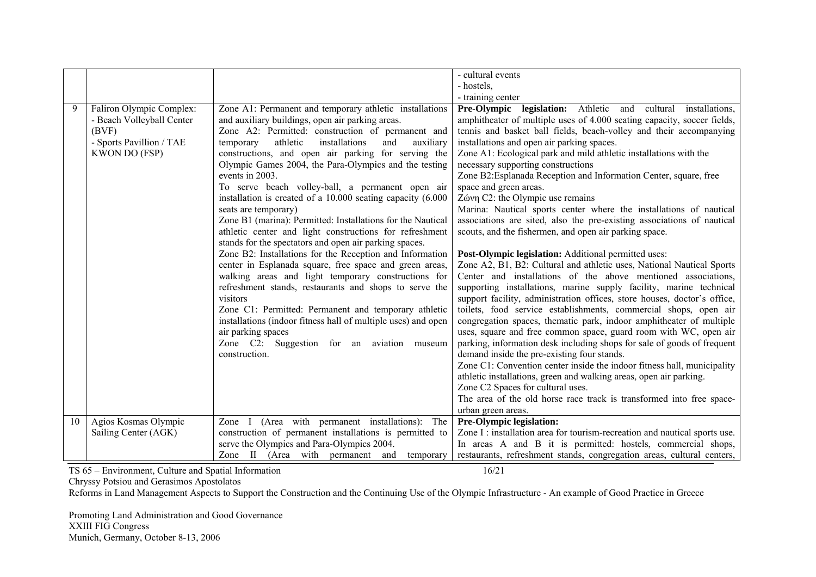|    |                           |                                                               | - cultural events                                                          |
|----|---------------------------|---------------------------------------------------------------|----------------------------------------------------------------------------|
|    |                           |                                                               | - hostels,                                                                 |
|    |                           |                                                               | - training center                                                          |
| 9  |                           |                                                               | Pre-Olympic legislation: Athletic and cultural installations,              |
|    | Faliron Olympic Complex:  | Zone A1: Permanent and temporary athletic installations       |                                                                            |
|    | - Beach Volleyball Center | and auxiliary buildings, open air parking areas.              | amphitheater of multiple uses of 4.000 seating capacity, soccer fields,    |
|    | (BVF)                     | Zone A2: Permitted: construction of permanent and             | tennis and basket ball fields, beach-volley and their accompanying         |
|    | - Sports Pavillion / TAE  | installations<br>temporary<br>athletic<br>and<br>auxiliary    | installations and open air parking spaces.                                 |
|    | <b>KWON DO (FSP)</b>      | constructions, and open air parking for serving the           | Zone A1: Ecological park and mild athletic installations with the          |
|    |                           | Olympic Games 2004, the Para-Olympics and the testing         | necessary supporting constructions                                         |
|    |                           | events in 2003.                                               | Zone B2: Esplanada Reception and Information Center, square, free          |
|    |                           | To serve beach volley-ball, a permanent open air              | space and green areas.                                                     |
|    |                           | installation is created of a 10.000 seating capacity (6.000   | Ζώνη C2: the Olympic use remains                                           |
|    |                           | seats are temporary)                                          | Marina: Nautical sports center where the installations of nautical         |
|    |                           | Zone B1 (marina): Permitted: Installations for the Nautical   | associations are sited, also the pre-existing associations of nautical     |
|    |                           | athletic center and light constructions for refreshment       | scouts, and the fishermen, and open air parking space.                     |
|    |                           | stands for the spectators and open air parking spaces.        |                                                                            |
|    |                           | Zone B2: Installations for the Reception and Information      | Post-Olympic legislation: Additional permitted uses:                       |
|    |                           | center in Esplanada square, free space and green areas,       | Zone A2, B1, B2: Cultural and athletic uses, National Nautical Sports      |
|    |                           | walking areas and light temporary constructions for           | Center and installations of the above mentioned associations,              |
|    |                           | refreshment stands, restaurants and shops to serve the        | supporting installations, marine supply facility, marine technical         |
|    |                           | visitors                                                      | support facility, administration offices, store houses, doctor's office,   |
|    |                           | Zone C1: Permitted: Permanent and temporary athletic          | toilets, food service establishments, commercial shops, open air           |
|    |                           | installations (indoor fitness hall of multiple uses) and open | congregation spaces, thematic park, indoor amphitheater of multiple        |
|    |                           | air parking spaces                                            | uses, square and free common space, guard room with WC, open air           |
|    |                           |                                                               |                                                                            |
|    |                           | Zone C2: Suggestion for an aviation museum                    | parking, information desk including shops for sale of goods of frequent    |
|    |                           | construction.                                                 | demand inside the pre-existing four stands.                                |
|    |                           |                                                               | Zone C1: Convention center inside the indoor fitness hall, municipality    |
|    |                           |                                                               | athletic installations, green and walking areas, open air parking.         |
|    |                           |                                                               | Zone C2 Spaces for cultural uses.                                          |
|    |                           |                                                               | The area of the old horse race track is transformed into free space-       |
|    |                           |                                                               | urban green areas.                                                         |
| 10 | Agios Kosmas Olympic      | Zone I (Area with permanent installations): The               | Pre-Olympic legislation:                                                   |
|    | Sailing Center (AGK)      | construction of permanent installations is permitted to       | Zone I : installation area for tourism-recreation and nautical sports use. |
|    |                           | serve the Olympics and Para-Olympics 2004.                    | In areas A and B it is permitted: hostels, commercial shops,               |
|    |                           | Zone II (Area with permanent and<br>temporary                 | restaurants, refreshment stands, congregation areas, cultural centers,     |

TS 65 – Environment, Culture and Spatial Information 16/21

Chryssy Potsiou and Gerasimos Apostolatos

Reforms in Land Management Aspects to Support the Construction and the Continuing Use of the Olympic Infrastructure - An example of Good Practice in Greece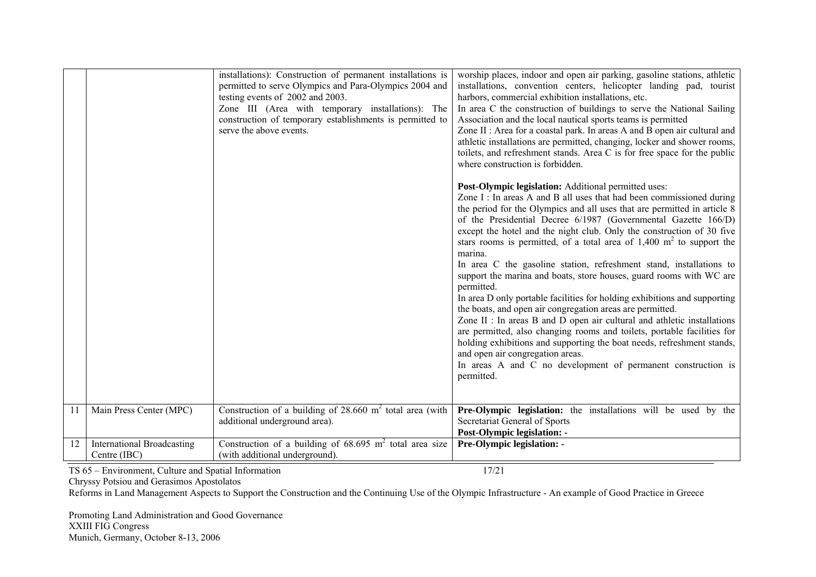|               |                                                   | installations): Construction of permanent installations is<br>permitted to serve Olympics and Para-Olympics 2004 and<br>testing events of 2002 and 2003.<br>Zone III (Area with temporary installations): The<br>construction of temporary establishments is permitted to<br>serve the above events. | worship places, indoor and open air parking, gasoline stations, athletic<br>installations, convention centers, helicopter landing pad, tourist<br>harbors, commercial exhibition installations, etc.<br>In area C the construction of buildings to serve the National Sailing<br>Association and the local nautical sports teams is permitted<br>Zone II : Area for a coastal park. In areas A and B open air cultural and<br>athletic installations are permitted, changing, locker and shower rooms,<br>toilets, and refreshment stands. Area C is for free space for the public<br>where construction is forbidden.<br>Post-Olympic legislation: Additional permitted uses:<br>Zone I: In areas A and B all uses that had been commissioned during<br>the period for the Olympics and all uses that are permitted in article 8<br>of the Presidential Decree 6/1987 (Governmental Gazette 166/D)<br>except the hotel and the night club. Only the construction of 30 five<br>stars rooms is permitted, of a total area of $1,400 \text{ m}^2$ to support the<br>marina.<br>In area C the gasoline station, refreshment stand, installations to<br>support the marina and boats, store houses, guard rooms with WC are<br>permitted.<br>In area D only portable facilities for holding exhibitions and supporting<br>the boats, and open air congregation areas are permitted.<br>Zone II : In areas B and D open air cultural and athletic installations<br>are permitted, also changing rooms and toilets, portable facilities for<br>holding exhibitions and supporting the boat needs, refreshment stands,<br>and open air congregation areas. |
|---------------|---------------------------------------------------|------------------------------------------------------------------------------------------------------------------------------------------------------------------------------------------------------------------------------------------------------------------------------------------------------|------------------------------------------------------------------------------------------------------------------------------------------------------------------------------------------------------------------------------------------------------------------------------------------------------------------------------------------------------------------------------------------------------------------------------------------------------------------------------------------------------------------------------------------------------------------------------------------------------------------------------------------------------------------------------------------------------------------------------------------------------------------------------------------------------------------------------------------------------------------------------------------------------------------------------------------------------------------------------------------------------------------------------------------------------------------------------------------------------------------------------------------------------------------------------------------------------------------------------------------------------------------------------------------------------------------------------------------------------------------------------------------------------------------------------------------------------------------------------------------------------------------------------------------------------------------------------------------------------------------------------------------------------|
|               |                                                   |                                                                                                                                                                                                                                                                                                      | In areas A and C no development of permanent construction is<br>permitted.                                                                                                                                                                                                                                                                                                                                                                                                                                                                                                                                                                                                                                                                                                                                                                                                                                                                                                                                                                                                                                                                                                                                                                                                                                                                                                                                                                                                                                                                                                                                                                           |
| <sup>11</sup> | Main Press Center (MPC)                           | Construction of a building of $28.660$ m <sup>2</sup> total area (with<br>additional underground area).                                                                                                                                                                                              | Pre-Olympic legislation: the installations will be used by the<br>Secretariat General of Sports<br><b>Post-Olympic legislation: -</b>                                                                                                                                                                                                                                                                                                                                                                                                                                                                                                                                                                                                                                                                                                                                                                                                                                                                                                                                                                                                                                                                                                                                                                                                                                                                                                                                                                                                                                                                                                                |
| 12            | <b>International Broadcasting</b><br>Centre (IBC) | Construction of a building of $68.695 \text{ m}^2$ total area size<br>(with additional underground).                                                                                                                                                                                                 | Pre-Olympic legislation: -                                                                                                                                                                                                                                                                                                                                                                                                                                                                                                                                                                                                                                                                                                                                                                                                                                                                                                                                                                                                                                                                                                                                                                                                                                                                                                                                                                                                                                                                                                                                                                                                                           |

TS 65 – Environment, Culture and Spatial Information 17/21

Chryssy Potsiou and Gerasimos Apostolatos

Reforms in Land Management Aspects to Support the Construction and the Continuing Use of the Olympic Infrastructure - An example of Good Practice in Greece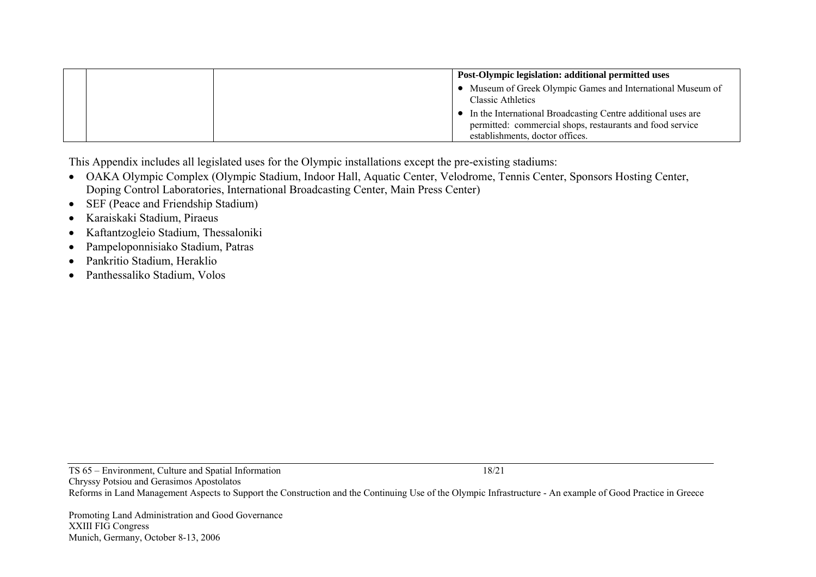|  | Post-Olympic legislation: additional permitted uses                                                                                                            |
|--|----------------------------------------------------------------------------------------------------------------------------------------------------------------|
|  | Museum of Greek Olympic Games and International Museum of<br>Classic Athletics                                                                                 |
|  | • In the International Broadcasting Centre additional uses are<br>permitted: commercial shops, restaurants and food service<br>establishments, doctor offices. |

This Appendix includes all legislated uses for the Olympic installations except the pre-existing stadiums:

- ΟΑΚΑ Olympic Complex (Olympic Stadium, Indoor Hall, Aquatic Center, Velodrome, Tennis Center, Sponsors Hosting Center, Doping Control Laboratories, International Broadcasting Center, Main Press Center)
- SEF (Peace and Friendship Stadium)
- •Karaiskaki Stadium, Piraeus
- •Kaftantzogleio Stadium, Thessaloniki
- •Pampeloponnisiako Stadium, Patras
- •Pankritio Stadium, Heraklio
- •Panthessaliko Stadium, Volos

TS 65 – Environment, Culture and Spatial Information 18/21 Chryssy Potsiou and Gerasimos Apostolatos Reforms in Land Management Aspects to Support the Construction and the Continuing Use of the Olympic Infrastructure - An example of Good Practice in Greece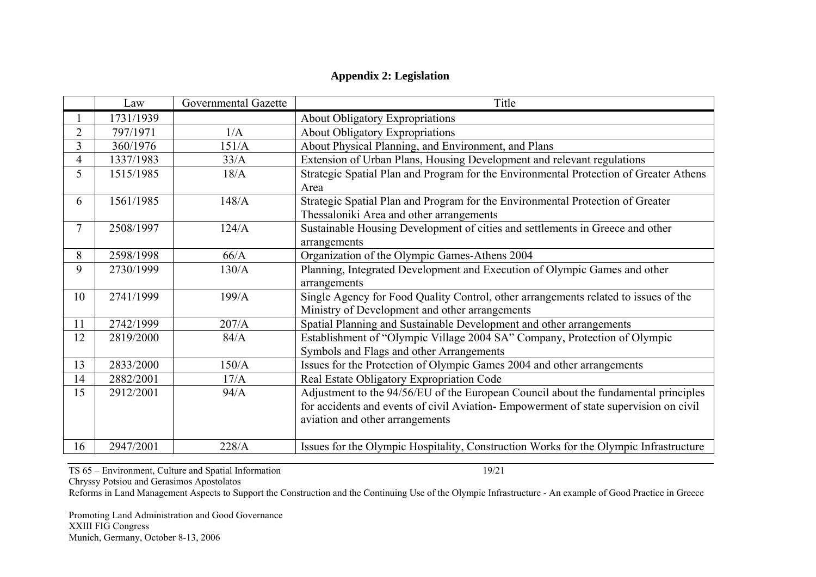## **Appendix 2: Legislation**

|                | Law       | Governmental Gazette | Title                                                                                 |
|----------------|-----------|----------------------|---------------------------------------------------------------------------------------|
|                | 1731/1939 |                      | <b>About Obligatory Expropriations</b>                                                |
| $\overline{2}$ | 797/1971  | 1/A                  | <b>About Obligatory Expropriations</b>                                                |
| 3              | 360/1976  | 151/A                | About Physical Planning, and Environment, and Plans                                   |
| 4              | 1337/1983 | 33/A                 | Extension of Urban Plans, Housing Development and relevant regulations                |
| 5              | 1515/1985 | 18/A                 | Strategic Spatial Plan and Program for the Environmental Protection of Greater Athens |
|                |           |                      | Area                                                                                  |
| 6              | 1561/1985 | 148/A                | Strategic Spatial Plan and Program for the Environmental Protection of Greater        |
|                |           |                      | Thessaloniki Area and other arrangements                                              |
| $\overline{7}$ | 2508/1997 | 124/A                | Sustainable Housing Development of cities and settlements in Greece and other         |
|                |           |                      | arrangements                                                                          |
| 8              | 2598/1998 | 66/A                 | Organization of the Olympic Games-Athens 2004                                         |
| 9              | 2730/1999 | 130/A                | Planning, Integrated Development and Execution of Olympic Games and other             |
|                |           |                      | arrangements                                                                          |
| 10             | 2741/1999 | 199/A                | Single Agency for Food Quality Control, other arrangements related to issues of the   |
|                |           |                      | Ministry of Development and other arrangements                                        |
| 11             | 2742/1999 | 207/A                | Spatial Planning and Sustainable Development and other arrangements                   |
| 12             | 2819/2000 | 84/A                 | Establishment of "Olympic Village 2004 SA" Company, Protection of Olympic             |
|                |           |                      | Symbols and Flags and other Arrangements                                              |
| 13             | 2833/2000 | 150/A                | Issues for the Protection of Olympic Games 2004 and other arrangements                |
| 14             | 2882/2001 | 17/A                 | Real Estate Obligatory Expropriation Code                                             |
| 15             | 2912/2001 | 94/A                 | Adjustment to the 94/56/EU of the European Council about the fundamental principles   |
|                |           |                      | for accidents and events of civil Aviation- Empowerment of state supervision on civil |
|                |           |                      | aviation and other arrangements                                                       |
|                |           |                      |                                                                                       |
| 16             | 2947/2001 | 228/A                | Issues for the Olympic Hospitality, Construction Works for the Olympic Infrastructure |

TS 65 – Environment, Culture and Spatial Information 19/21

Chryssy Potsiou and Gerasimos Apostolatos

Reforms in Land Management Aspects to Support the Construction and the Continuing Use of the Olympic Infrastructure - An example of Good Practice in Greece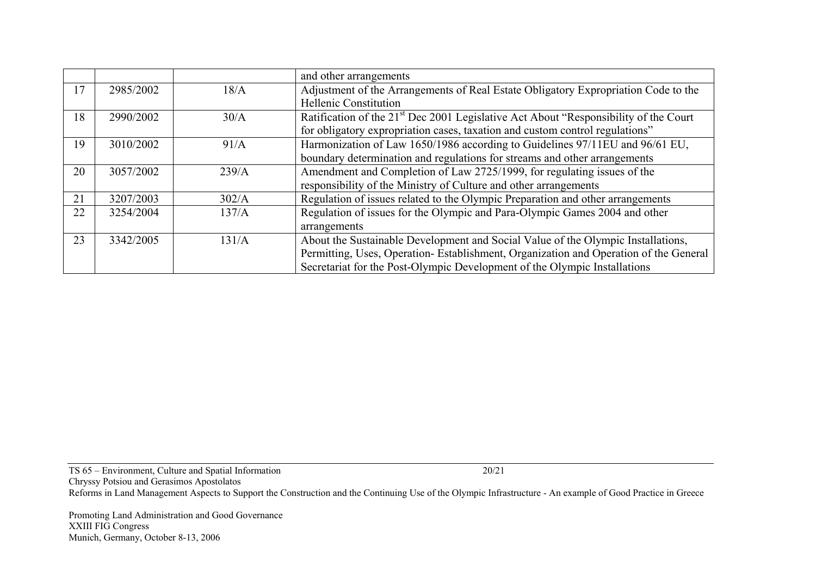|    |           |       | and other arrangements                                                                            |
|----|-----------|-------|---------------------------------------------------------------------------------------------------|
| 17 | 2985/2002 | 18/A  | Adjustment of the Arrangements of Real Estate Obligatory Expropriation Code to the                |
|    |           |       | Hellenic Constitution                                                                             |
| 18 | 2990/2002 | 30/A  | Ratification of the 21 <sup>st</sup> Dec 2001 Legislative Act About "Responsibility of the Court" |
|    |           |       | for obligatory expropriation cases, taxation and custom control regulations"                      |
| 19 | 3010/2002 | 91/A  | Harmonization of Law 1650/1986 according to Guidelines 97/11EU and 96/61 EU,                      |
|    |           |       | boundary determination and regulations for streams and other arrangements                         |
| 20 | 3057/2002 | 239/A | Amendment and Completion of Law 2725/1999, for regulating issues of the                           |
|    |           |       | responsibility of the Ministry of Culture and other arrangements                                  |
| 21 | 3207/2003 | 302/A | Regulation of issues related to the Olympic Preparation and other arrangements                    |
| 22 | 3254/2004 | 137/A | Regulation of issues for the Olympic and Para-Olympic Games 2004 and other                        |
|    |           |       | arrangements                                                                                      |
| 23 | 3342/2005 | 131/A | About the Sustainable Development and Social Value of the Olympic Installations,                  |
|    |           |       | Permitting, Uses, Operation-Establishment, Organization and Operation of the General              |
|    |           |       | Secretariat for the Post-Olympic Development of the Olympic Installations                         |